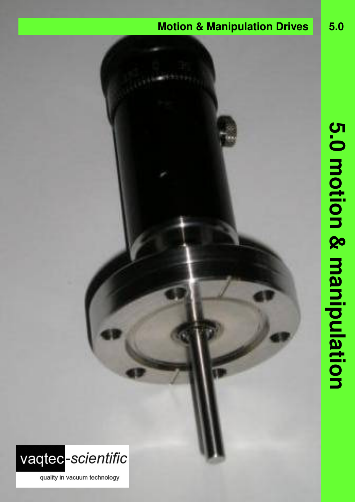## **Motion & Manipulation Drives 5.0**



quality in vacuum technology

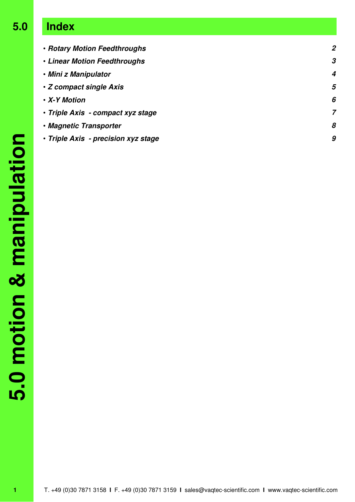# **5.0 Index**

| · Rotary Motion Feedthroughs        | $\overline{2}$ |
|-------------------------------------|----------------|
| • Linear Motion Feedthroughs        | 3              |
| • Mini z Manipulator                | 4              |
| • Z compact single Axis             | 5              |
| • X-Y Motion                        | 6              |
| • Triple Axis - compact xyz stage   | 7              |
| • Magnetic Transporter              | 8              |
| · Triple Axis - precision xyz stage | 9              |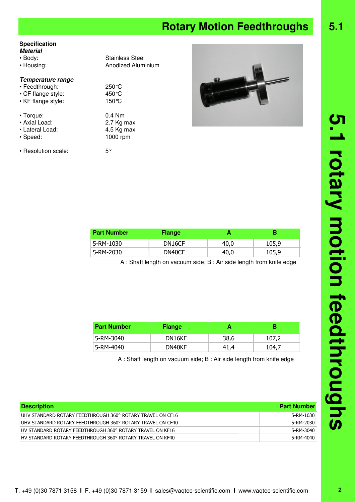## **Rotary Motion Feedthroughs** 5.1

### **Specification**

| - - - - - - - - - - - - - - -<br><b>Material</b><br>$\cdot$ Body:<br>• Housing: | <b>Stainless Steel</b><br>Anodized Aluminium     |
|---------------------------------------------------------------------------------|--------------------------------------------------|
| Temperature range<br>• Feedthrough:<br>• CF flange style:<br>• KF flange style: | $250^{\circ}$ C<br>450 °C<br>150 °C              |
| $\cdot$ Torque:<br>• Axial Load:<br>• Lateral Load:<br>• Speed:                 | $0.4$ Nm<br>2.7 Kg max<br>4.5 Kg max<br>1000 rpm |
| • Resolution scale:                                                             | $5^{\circ}$                                      |



| <b>Part Number</b> | <b>Flange</b>       |      |       |
|--------------------|---------------------|------|-------|
| 5-RM-1030          | DN <sub>16</sub> CF | 40,0 | 105,9 |
| 5-RM-2030          | DN40CF              | 40.0 | 105,9 |

A : Shaft length on vacuum side; B : Air side length from knife edge

| <b>Part Number</b> | <b>Flange</b> |      |       |
|--------------------|---------------|------|-------|
| 5-RM-3040          | DN16KF        | 38,6 | 107,2 |
| 5-RM-4040          | DN40KF        | 41.4 | 104.7 |

A : Shaft length on vacuum side; B : Air side length from knife edge

| <b>Description</b>                                         | <b>Part Number</b> |
|------------------------------------------------------------|--------------------|
| UHV STANDARD ROTARY FEEDTHROUGH 360° ROTARY TRAVEL ON CF16 | 5-RM-1030          |
| UHV STANDARD ROTARY FEEDTHROUGH 360° ROTARY TRAVEL ON CF40 | 5-RM-2030          |
| HV STANDARD ROTARY FEEDTHROUGH 360° ROTARY TRAVEL ON KF16  | 5-RM-3040          |
| HV STANDARD ROTARY FEEDTHROUGH 360° ROTARY TRAVEL ON KF40  | 5-RM-4040          |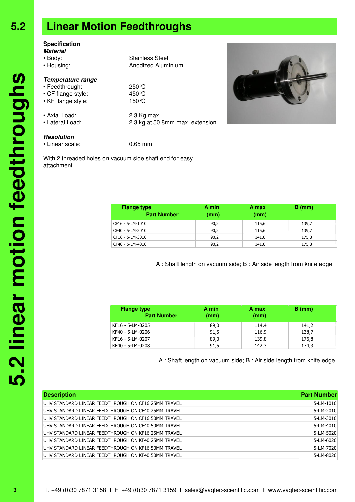### **Specification**

**Material** • Body: Stainless Steel

- Housing: **Anodized Aluminium**
- 

### **Temperature range**

- Feedthrough: 250°C
- CF flange style: 450°C
- KF flange style: 150°C
- 
- Lateral Load: 2.3 kg at 50.8mm max. extension
- Axial Load: 2.3 Kg max.

### **Resolution**

• Linear scale: 0.65 mm

With 2 threaded holes on vacuum side shaft end for easy attachment

| <b>Flange type</b><br><b>Part Number</b> | A min<br>(mm) | A max<br>(mm) | $B$ (mm) |  |
|------------------------------------------|---------------|---------------|----------|--|
| CF16 - 5-LM-1010                         | 90,2          | 115,6         | 139,7    |  |
| CF40 - 5-LM-2010                         | 90,2          | 115,6         | 139,7    |  |
| CF16 - 5-LM-3010                         | 90,2          | 141,0         | 175,3    |  |
| CF40 - 5-LM-4010                         | 90,2          | 141,0         | 175,3    |  |

A : Shaft length on vacuum side; B : Air side length from knife edge

| <b>Flange type</b><br><b>Part Number</b> | A min<br>(mm) | A max<br>(mm) | $B$ (mm) |
|------------------------------------------|---------------|---------------|----------|
| KF16 - 5-LM-0205                         | 89,0          | 114,4         | 141,2    |
| KF40 - 5-LM-0206                         | 91,5          | 116,9         | 138,7    |
| KF16 - 5-LM-0207                         | 89,0          | 139,8         | 176,8    |
| KF40 - 5-LM-0208                         | 91,5          | 142,3         | 174,3    |

A : Shaft length on vacuum side; B : Air side length from knife edge

| <b>Description</b>                                  | <b>Part Number</b> |
|-----------------------------------------------------|--------------------|
| UHV STANDARD LINEAR FEEDTHROUGH ON CF16 25MM TRAVEL | 5-LM-1010          |
| UHV STANDARD LINEAR FEEDTHROUGH ON CF40 25MM TRAVEL | 5-LM-2010          |
| UHV STANDARD LINEAR FEEDTHROUGH ON CF16 50MM TRAVEL | 5-LM-3010          |
| UHV STANDARD LINEAR FEEDTHROUGH ON CF40 50MM TRAVEL | 5-LM-4010          |
| UHV STANDARD LINEAR FEEDTHROUGH ON KF16 25MM TRAVEL | 5-LM-5020          |
| UHV STANDARD LINEAR FEEDTHROUGH ON KF40 25MM TRAVEL | 5-LM-6020          |
| UHV STANDARD LINEAR FEEDTHROUGH ON KF16 50MM TRAVEL | 5-LM-7020          |
| UHV STANDARD LINEAR FEEDTHROUGH ON KF40 50MM TRAVEL | 5-LM-8020          |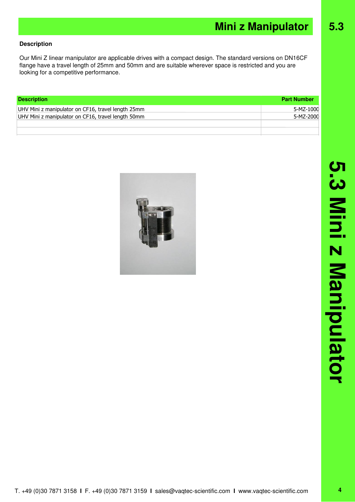### **Description**

Our Mini Z linear manipulator are applicable drives with a compact design. The standard versions on DN16CF flange have a travel length of 25mm and 50mm and are suitable wherever space is restricted and you are looking for a competitive performance.

| <b>Description</b>                                 | <b>Part Number</b> |
|----------------------------------------------------|--------------------|
| UHV Mini z manipulator on CF16, travel length 25mm | 5-MZ-1000          |
| UHV Mini z manipulator on CF16, travel length 50mm | 5-MZ-2000          |
|                                                    |                    |
|                                                    |                    |

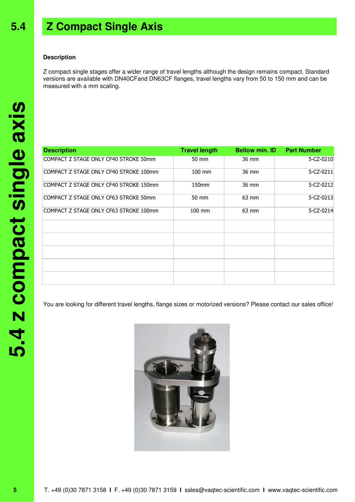## **5.4 Z Compact Single Axis**

#### **Description**

Z compact single stages offer a wider range of travel lengths although the design remains compact. Standard versions are available with DN40CFand DN63CF flanges, travel lengths vary from 50 to 150 mm and can be measured with a mm scaling.

| <b>Description</b>                     | <b>Travel length</b> | <b>Bellow min. ID</b> | <b>Part Number</b> |
|----------------------------------------|----------------------|-----------------------|--------------------|
| COMPACT Z STAGE ONLY CF40 STROKE 50mm  | 50 mm                | 36 mm                 | 5-CZ-0210          |
| COMPACT Z STAGE ONLY CF40 STROKE 100mm | $100 \text{ mm}$     | 36 mm                 | 5-CZ-0211          |
| COMPACT Z STAGE ONLY CF40 STROKE 150mm | 150 <sub>mm</sub>    | 36 mm                 | 5-CZ-0212          |
| COMPACT Z STAGE ONLY CF63 STROKE 50mm  | 50 mm                | 63 mm                 | 5-CZ-0213          |
| COMPACT Z STAGE ONLY CF63 STROKE 100mm | 100 mm               | 63 mm                 | 5-CZ-0214          |
|                                        |                      |                       |                    |
|                                        |                      |                       |                    |
|                                        |                      |                       |                    |
|                                        |                      |                       |                    |
|                                        |                      |                       |                    |

You are looking for different travel lengths, flange sizes or motorized versions? Please contact our sales office!

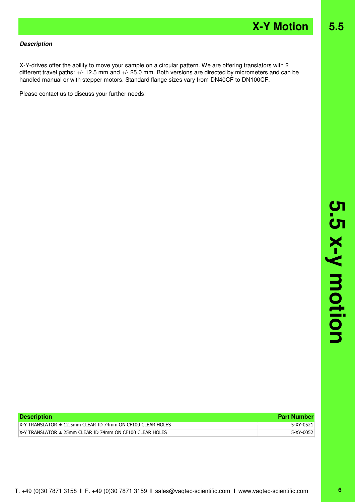#### **Description**

X-Y-drives offer the ability to move your sample on a circular pattern. We are offering translators with 2 different travel paths: +/- 12.5 mm and +/- 25.0 mm. Both versions are directed by micrometers and can be handled manual or with stepper motors. Standard flange sizes vary from DN40CF to DN100CF.

Please contact us to discuss your further needs!

| <b>Description</b>                                               | <b>Part Number</b> |
|------------------------------------------------------------------|--------------------|
| $X-Y$ TRANSLATOR $\pm$ 12.5mm CLEAR ID 74mm ON CF100 CLEAR HOLES | 5-XY-0521          |
| $X-Y$ TRANSLATOR $\pm$ 25mm CLEAR ID 74mm ON CF100 CLEAR HOLES   | 5-XY-0052          |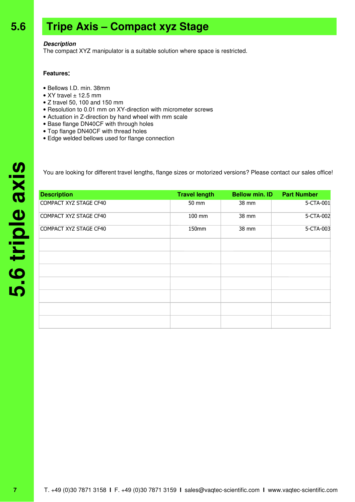## **5.6 Tripe Axis – Compact xyz Stage**

#### **Description**

The compact XYZ manipulator is a suitable solution where space is restricted.

#### **Features**:

- Bellows I.D. min. 38mm
- XY travel  $\pm$  12.5 mm
- Z travel 50, 100 and 150 mm
- Resolution to 0.01 mm on XY-direction with micrometer screws
- Actuation in Z-direction by hand wheel with mm scale
- Base flange DN40CF with through holes
- Top flange DN40CF with thread holes
- Edge welded bellows used for flange connection

You are looking for different travel lengths, flange sizes or motorized versions? Please contact our sales office!

| <b>Description</b>     | <b>Travel length</b> | <b>Bellow min. ID</b> | <b>Part Number</b> |
|------------------------|----------------------|-----------------------|--------------------|
| COMPACT XYZ STAGE CF40 | 50 mm                | 38 mm                 | 5-CTA-001          |
| COMPACT XYZ STAGE CF40 | 100 mm               | 38 mm                 | 5-CTA-002          |
| COMPACT XYZ STAGE CF40 | 150mm                | 38 mm                 | 5-CTA-003          |
|                        |                      |                       |                    |
|                        |                      |                       |                    |
|                        |                      |                       |                    |
|                        |                      |                       |                    |
|                        |                      |                       |                    |
|                        |                      |                       |                    |
|                        |                      |                       |                    |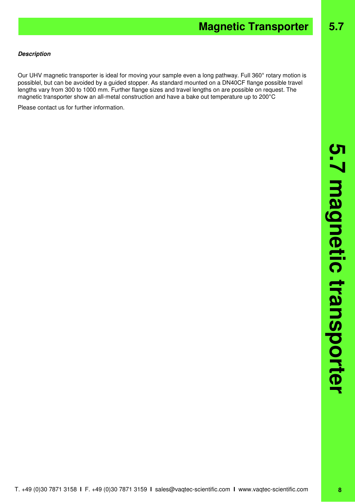# **Magnetic Transporter 5.7**

#### **Description**

Our UHV magnetic transporter is ideal for moving your sample even a long pathway. Full 360° rotary motion is possiblel, but can be avoided by a guided stopper. As standard mounted on a DN40CF flange possible travel lengths vary from 300 to 1000 mm. Further flange sizes and travel lengths on are possible on request. The magnetic transporter show an all-metal construction and have a bake out temperature up to 200°C

Please contact us for further information.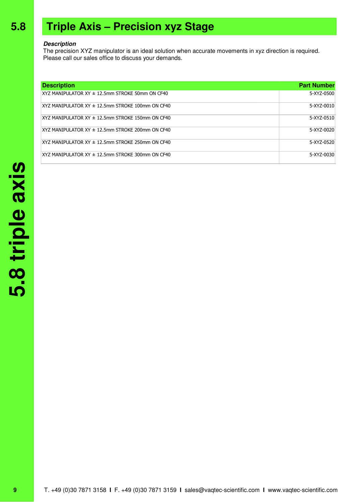## **5.8 Triple Axis – Precision xyz Stage**

#### **Description**

The precision XYZ manipulator is an ideal solution when accurate movements in xyz direction is required. Please call our sales office to discuss your demands.

| <b>Description</b>                                      | <b>Part Number</b> |
|---------------------------------------------------------|--------------------|
| XYZ MANIPULATOR $XY \pm 12.5$ mm STROKE 50mm ON CF40    | 5-XYZ-0500         |
| $XYZ$ MANIPULATOR $XY \pm 12.5$ mm STROKE 100mm ON CF40 | 5-XYZ-0010         |
| $XYZ$ MANIPULATOR $XY \pm 12.5$ mm STROKE 150mm ON CF40 | 5-XYZ-0510         |
| XYZ MANIPULATOR XY ± 12.5mm STROKE 200mm ON CF40        | 5-XY7-0020         |
| $XYZ$ MANIPULATOR $XY \pm 12.5$ mm STROKE 250mm ON CF40 | 5-XY7-0520         |
| $XYZ$ MANIPULATOR $XY \pm 12.5$ mm STROKE 300mm ON CF40 | 5-XYZ-0030         |